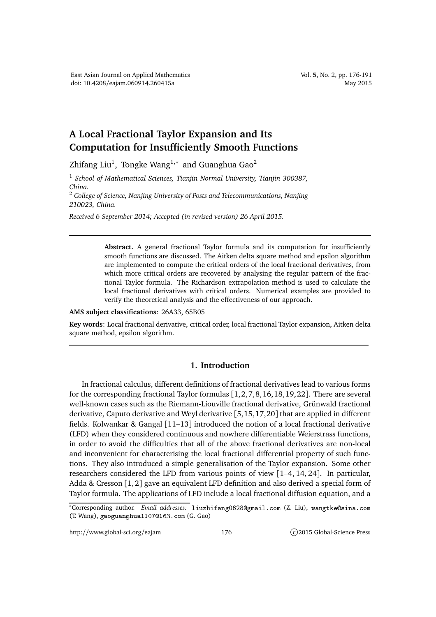## **A Local Fractional Taylor Expansion and Its Computation for Insufficiently Smooth Functions**

Zhifang Liu $^1$ , Tongke Wang $^{1,\ast}$  and Guanghua Gao $^2$ 

<sup>1</sup> *School of Mathematical Sciences, Tianjin Normal University, Tianjin 300387, China.*

<sup>2</sup> *College of Science, Nanjing University of Posts and Telecommunications, Nanjing 210023, China.*

*Received 6 September 2014; Accepted (in revised version) 26 April 2015.*

**Abstract.** A general fractional Taylor formula and its computation for insufficiently smooth functions are discussed. The Aitken delta square method and epsilon algorithm are implemented to compute the critical orders of the local fractional derivatives, from which more critical orders are recovered by analysing the regular pattern of the fractional Taylor formula. The Richardson extrapolation method is used to calculate the local fractional derivatives with critical orders. Numerical examples are provided to verify the theoretical analysis and the effectiveness of our approach.

**AMS subject classifications**: 26A33, 65B05

**Key words**: Local fractional derivative, critical order, local fractional Taylor expansion, Aitken delta square method, epsilon algorithm.

## **1. Introduction**

In fractional calculus, different definitions of fractional derivatives lead to various forms for the corresponding fractional Taylor formulas  $[1,2,7,8,16,18,19,22]$ . There are several well-known cases such as the Riemann-Liouville fractional derivative, Grünwald fractional derivative, Caputo derivative and Weyl derivative [5,15,17,20] that are applied in different fields. Kolwankar & Gangal [11–13] introduced the notion of a local fractional derivative (LFD) when they considered continuous and nowhere differentiable Weierstrass functions, in order to avoid the difficulties that all of the above fractional derivatives are non-local and inconvenient for characterising the local fractional differential property of such functions. They also introduced a simple generalisation of the Taylor expansion. Some other researchers considered the LFD from various points of view [1–4, 14, 24]. In particular, Adda & Cresson  $\lceil 1, 2 \rceil$  gave an equivalent LFD definition and also derived a special form of Taylor formula. The applications of LFD include a local fractional diffusion equation, and a

<sup>\*</sup>Corresponding author. Email addresses: liuzhifang0628@gmail.com (Z. Liu), wangtke@sina.com (T. Wang), gaoguanghua 11070163. com (G. Gao)